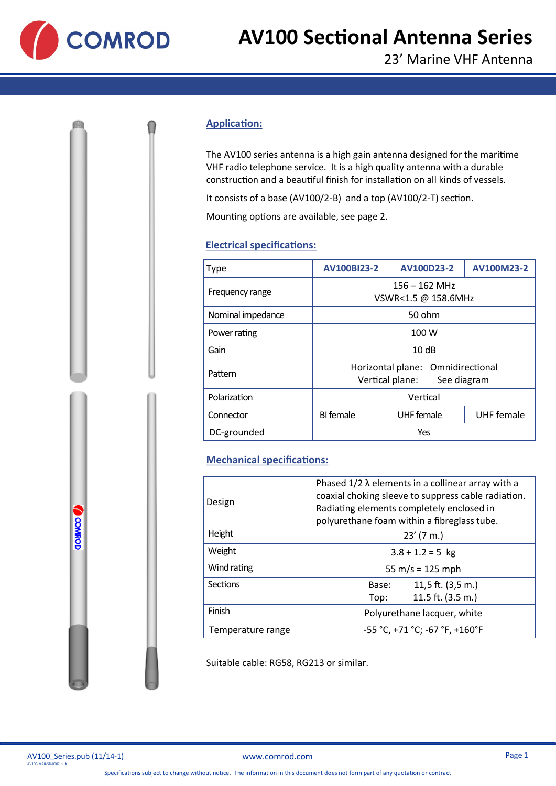

# **AV100 Sectional Antenna Series**

#### **Application:**

The AV100 series antenna is a high gain antenna designed for the maritime VHF radio telephone service. It is a high quality antenna with a durable construction and a beautiful finish for installation on all kinds of vessels.

It consists of a base (AV100/2-B) and a top (AV100/2-T) section.

Mounting options are available, see page 2.

### **Electrical specifications:**

| Type              | <b>AV100BI23-2</b>                                                  | AV100D23-2        | AV100M23-2        |
|-------------------|---------------------------------------------------------------------|-------------------|-------------------|
| Frequency range   | $156 - 162$ MHz<br>VSWR<1.5 @ 158.6MHz                              |                   |                   |
| Nominal impedance | 50 ohm                                                              |                   |                   |
| Power rating      | 100 W                                                               |                   |                   |
| Gain              | 10dB                                                                |                   |                   |
| Pattern           | Horizontal plane: Omnidirectional<br>Vertical plane:<br>See diagram |                   |                   |
| Polarization      | Vertical                                                            |                   |                   |
| Connector         | <b>BI</b> female                                                    | <b>UHF</b> female | <b>UHF</b> female |
| DC-grounded       | Yes                                                                 |                   |                   |

## **Mechanical specifications:**

| Design            | Phased $1/2 \lambda$ elements in a collinear array with a<br>coaxial choking sleeve to suppress cable radiation. |  |  |
|-------------------|------------------------------------------------------------------------------------------------------------------|--|--|
|                   | Radiating elements completely enclosed in<br>polyurethane foam within a fibreglass tube.                         |  |  |
| Height            | $23'$ (7 m.)                                                                                                     |  |  |
| Weight            | $3.8 + 1.2 = 5$ kg                                                                                               |  |  |
| Wind rating       | 55 m/s = $125$ mph                                                                                               |  |  |
| Sections          | 11,5 ft. $(3,5, m.)$<br>Base:                                                                                    |  |  |
|                   | 11.5 ft. $(3.5 m.)$<br>Top:                                                                                      |  |  |
| Finish            | Polyurethane lacquer, white                                                                                      |  |  |
| Temperature range | $-55 °C$ , +71 °C; -67 °F, +160°F                                                                                |  |  |

Suitable cable: RG58, RG213 or similar.

|                       | AV100 Series.pub (11/14-1) |  |
|-----------------------|----------------------------|--|
| AV100-MAR-SD-0002.pub |                            |  |

**OSMROD**